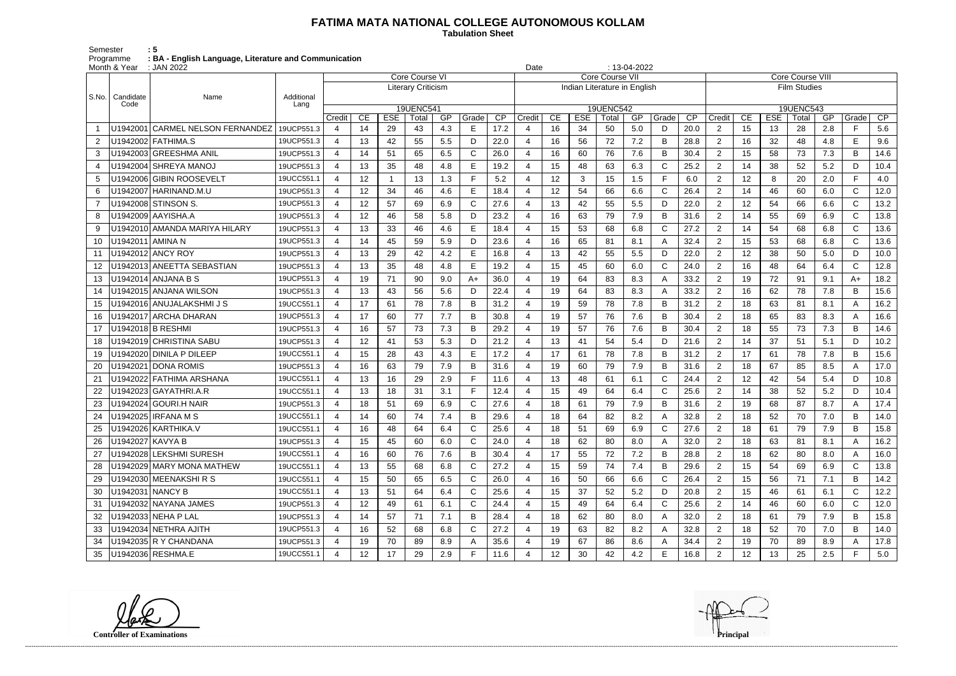## **FATIMA MATA NATIONAL COLLEGE AUTONOMOUS KOLLAM**

 **Tabulation Sheet** 

Semester : 5 Programme **: BA - English Language, Literature and Communication**

|                | Month & Year            | $: 13-04-2022$<br>: JAN 2022<br>Date |                    |                |                 |              |                           |     |              |                 |                                                        |    |            |                           |     |              |                 |                     |                         |            |       |     |              |      |  |
|----------------|-------------------------|--------------------------------------|--------------------|----------------|-----------------|--------------|---------------------------|-----|--------------|-----------------|--------------------------------------------------------|----|------------|---------------------------|-----|--------------|-----------------|---------------------|-------------------------|------------|-------|-----|--------------|------|--|
|                |                         |                                      |                    |                |                 |              | Core Course VI            |     |              |                 | <b>Core Course VII</b><br>Indian Literature in English |    |            |                           |     |              |                 |                     | <b>Core Course VIII</b> |            |       |     |              |      |  |
|                |                         |                                      |                    |                |                 |              | <b>Literary Criticism</b> |     |              |                 |                                                        |    |            |                           |     |              |                 | <b>Film Studies</b> |                         |            |       |     |              |      |  |
| $ $ S.No.      | Candidate<br>Code       | Name                                 | Additional<br>Lang |                |                 |              |                           |     |              |                 |                                                        |    |            |                           |     |              |                 | 19UENC543           |                         |            |       |     |              |      |  |
|                |                         |                                      |                    | Credit         | CE              | <b>ESE</b>   | <b>19UENC541</b><br>Total | GP  | Grade        | $\overline{CP}$ | Credit                                                 | CE | <b>ESE</b> | <b>19UENC542</b><br>Total | GP  | Grade        | $\overline{CP}$ | Credit              | CE                      | <b>ESE</b> | Total | GP  | Grade        | CP   |  |
|                |                         | U1942001 CARMEL NELSON FERNANDEZ     | 19UCP551.3         | $\overline{4}$ | 14              | 29           | 43                        | 4.3 | Е            | 17.2            |                                                        | 16 | 34         | 50                        | 5.0 | D            | 20.0            | $\overline{2}$      | 15                      | 13         | 28    | 2.8 | F.           | 5.6  |  |
| $\overline{2}$ |                         | U1942002 FATHIMA.S                   | 19UCP551.3         | 4              | 13              | 42           | 55                        | 5.5 | D            | 22.0            |                                                        | 16 | 56         | 72                        | 7.2 | B            | 28.8            | $\overline{2}$      | 16                      | 32         | 48    | 4.8 | E            | 9.6  |  |
| 3              |                         | U1942003 GREESHMA ANIL               | 19UCP551.3         | $\overline{4}$ | 14              | 51           | 65                        | 6.5 | С            | 26.0            | $\overline{4}$                                         | 16 | 60         | 76                        | 7.6 | B            | 30.4            | $\overline{2}$      | 15                      | 58         | 73    | 7.3 | B            | 14.6 |  |
| 4              |                         | U1942004 SHREYA MANOJ                | 19UCP551.3         | 4              | 13              | 35           | 48                        | 4.8 | Е            | 19.2            |                                                        | 15 | 48         | 63                        | 6.3 | C            | 25.2            | $\overline{2}$      | 14                      | 38         | 52    | 5.2 | D            | 10.4 |  |
| 5              |                         | U1942006 GIBIN ROOSEVELT             | 19UCC551.1         | 4              | 12              | $\mathbf{1}$ | 13                        | 1.3 |              | 5.2             |                                                        | 12 | 3          | 15                        | 1.5 | F            | 6.0             | 2                   | 12 <sub>2</sub>         | 8          | 20    | 2.0 | F.           | 4.0  |  |
| 6              |                         | U1942007   HARINAND.M.U              | 19UCP551.3         | 4              | 12              | 34           | 46                        | 4.6 | Е            | 18.4            |                                                        | 12 | 54         | 66                        | 6.6 | C            | 26.4            | 2                   | 14                      | 46         | 60    | 6.0 | C            | 12.0 |  |
|                |                         | U1942008 STINSON S.                  | 19UCP551.3         | 4              | 12              | 57           | 69                        | 6.9 | C            | 27.6            |                                                        | 13 | 42         | 55                        | 5.5 | D            | 22.0            | $\overline{2}$      | 12                      | 54         | 66    | 6.6 | $\mathsf C$  | 13.2 |  |
| 8              |                         | U1942009 AAYISHA.A                   | 19UCP551.3         | 4              | 12              | 46           | 58                        | 5.8 | D            | 23.2            |                                                        | 16 | 63         | 79                        | 7.9 | B            | 31.6            | $\overline{2}$      | 14                      | 55         | 69    | 6.9 | $\mathsf{C}$ | 13.8 |  |
| 9              |                         | U1942010   AMANDA MARIYA HILARY      | 19UCP551.3         | 4              | 13              | 33           | 46                        | 4.6 | E            | 18.4            |                                                        | 15 | 53         | 68                        | 6.8 | C            | 27.2            | $\overline{2}$      | 14                      | 54         | 68    | 6.8 | $\mathsf{C}$ | 13.6 |  |
| 10             | U1942011   AMINA N      |                                      | 19UCP551.3         | 4              | 14              | 45           | 59                        | 5.9 | D            | 23.6            |                                                        | 16 | 65         | 81                        | 8.1 | A            | 32.4            | $\overline{2}$      | 15                      | 53         | 68    | 6.8 | $\mathsf{C}$ | 13.6 |  |
| 11             |                         | U1942012 ANCY ROY                    | 19UCP551.3         | 4              | 13              | 29           | 42                        | 4.2 | Е            | 16.8            |                                                        | 13 | 42         | 55                        | 5.5 | D            | 22.0            | 2                   | 12                      | 38         | 50    | 5.0 | D            | 10.0 |  |
| 12             |                         | U1942013 ANEETTA SEBASTIAN           | 19UCP551.3         | 4              | 13              | 35           | 48                        | 4.8 | E            | 19.2            |                                                        | 15 | 45         | 60                        | 6.0 | $\mathsf{C}$ | 24.0            | $\overline{2}$      | 16                      | 48         | 64    | 6.4 | $\mathsf{C}$ | 12.8 |  |
| 13             |                         | U1942014 ANJANA B S                  | 19UCP551.3         | 4              | 19              | 71           | 90                        | 9.0 | $A+$         | 36.0            |                                                        | 19 | 64         | 83                        | 8.3 | A            | 33.2            | $\overline{2}$      | 19                      | 72         | 91    | 9.1 | $A+$         | 18.2 |  |
| 14             |                         | U1942015 ANJANA WILSON               | 19UCP551.3         | 4              | 13              | 43           | 56                        | 5.6 | D            | 22.4            |                                                        | 19 | 64         | 83                        | 8.3 | A            | 33.2            | $\overline{2}$      | 16                      | 62         | 78    | 7.8 | B            | 15.6 |  |
| 15             |                         | U1942016 ANUJALAKSHMI J S            | 19UCC551.1         | 4              | 17              | 61           | 78                        | 7.8 | B            | 31.2            |                                                        | 19 | 59         | 78                        | 7.8 | B            | 31.2            | 2                   | 18                      | 63         | 81    | 8.1 | A            | 16.2 |  |
| 16             |                         | U1942017 ARCHA DHARAN                | 19UCP551.3         | 4              | 17              | 60           | 77                        | 7.7 | B            | 30.8            |                                                        | 19 | 57         | 76                        | 7.6 | B            | 30.4            | $\overline{2}$      | 18                      | 65         | 83    | 8.3 | A            | 16.6 |  |
| 17             |                         | U1942018 B RESHMI                    | 19UCP551.3         | $\overline{a}$ | 16              | 57           | 73                        | 7.3 | B            | 29.2            |                                                        | 19 | 57         | 76                        | 7.6 | B            | 30.4            | $\overline{2}$      | 18                      | 55         | 73    | 7.3 | B            | 14.6 |  |
| 18             |                         | U1942019 CHRISTINA SABU              | 19UCP551.3         | 4              | 12              | 41           | 53                        | 5.3 | D            | 21.2            |                                                        | 13 | 41         | 54                        | 5.4 | D            | 21.6            | $\overline{2}$      | 14                      | 37         | 51    | 5.1 | D            | 10.2 |  |
| 19             |                         | U1942020 DINILA P DILEEP             | 19UCC551.1         | 4              | 15              | 28           | 43                        | 4.3 | Е            | 17.2            |                                                        | 17 | 61         | 78                        | 7.8 | B            | 31.2            | $\overline{2}$      | 17                      | 61         | 78    | 7.8 | B            | 15.6 |  |
| 20             |                         | U1942021 DONA ROMIS                  | 19UCP551.3         | 4              | 16              | 63           | 79                        | 7.9 | B            | 31.6            |                                                        | 19 | 60         | 79                        | 7.9 | B            | 31.6            | $\overline{2}$      | 18                      | 67         | 85    | 8.5 | A            | 17.0 |  |
| 21             |                         | U1942022 FATHIMA ARSHANA             | 19UCC551.1         | 4              | 13              | 16           | 29                        | 2.9 |              | 11.6            |                                                        | 13 | 48         | 61                        | 6.1 | C            | 24.4            | $\overline{2}$      | 12 <sub>2</sub>         | 42         | 54    | 5.4 | D            | 10.8 |  |
| 22             |                         | U1942023 GAYATHRI.A.R                | 19UCC551.1         | 4              | 13              | 18           | 31                        | 3.1 | Е            | 12.4            |                                                        | 15 | 49         | 64                        | 6.4 | C            | 25.6            | $\overline{2}$      | 14                      | 38         | 52    | 5.2 | D            | 10.4 |  |
| 23             |                         | U1942024 GOURI.H NAIR                | 19UCP551.3         | 4              | 18              | 51           | 69                        | 6.9 | С            | 27.6            |                                                        | 18 | 61         | 79                        | 7.9 | B            | 31.6            | $\overline{2}$      | 19                      | 68         | 87    | 8.7 | A            | 17.4 |  |
| 24             |                         | U1942025 IRFANA M S                  | 19UCC551.1         | 4              | 14              | 60           | 74                        | 7.4 | B            | 29.6            |                                                        | 18 | 64         | 82                        | 8.2 | A            | 32.8            | $\overline{2}$      | 18                      | 52         | 70    | 7.0 | В            | 14.0 |  |
| 25             |                         | U1942026 KARTHIKA.V                  | 19UCC551.1         | 4              | 16              | 48           | 64                        | 6.4 | С            | 25.6            | 4                                                      | 18 | 51         | 69                        | 6.9 | C            | 27.6            | 2                   | 18                      | 61         | 79    | 7.9 | В            | 15.8 |  |
| 26             | U1942027 KAVYA B        |                                      | 19UCP551.3         | $\overline{4}$ | 15              | 45           | 60                        | 6.0 | C.           | 24.0            |                                                        | 18 | 62         | 80                        | 8.0 | A            | 32.0            | $\overline{2}$      | 18                      | 63         | 81    | 8.1 | A            | 16.2 |  |
| 27             |                         | U1942028 LEKSHMI SURESH              | 19UCC551.1         | $\overline{4}$ | 16              | 60           | 76                        | 7.6 | B            | 30.4            | 4                                                      | 17 | 55         | 72                        | 7.2 | B            | 28.8            | $\overline{2}$      | 18                      | 62         | 80    | 8.0 | A            | 16.0 |  |
| 28             |                         | U1942029 MARY MONA MATHEW            | 19UCC551.1         | 4              | 13              | 55           | 68                        | 6.8 | C            | 27.2            | 4                                                      | 15 | 59         | 74                        | 7.4 | B            | 29.6            | $\overline{2}$      | 15                      | 54         | 69    | 6.9 | C            | 13.8 |  |
| 29             |                         | U1942030 MEENAKSHIRS                 | 19UCC551.1         | 4              | 15              | 50           | 65                        | 6.5 | $\mathsf{C}$ | 26.0            |                                                        | 16 | 50         | 66                        | 6.6 | C            | 26.4            | $\overline{2}$      | 15                      | 56         | 71    | 7.1 | B            | 14.2 |  |
| 30             | <b>U1942031 NANCY B</b> |                                      | 19UCC551.1         | 4              | 13              | 51           | 64                        | 6.4 | C            | 25.6            |                                                        | 15 | 37         | 52                        | 5.2 | D            | 20.8            | 2                   | 15                      | 46         | 61    | 6.1 | $\mathsf{C}$ | 12.2 |  |
| -31            |                         | U1942032 NAYANA JAMES                | 19UCP551.3         | $\overline{4}$ | 12 <sup>°</sup> | 49           | 61                        | 6.1 | C.           | 24.4            |                                                        | 15 | 49         | 64                        | 6.4 | C            | 25.6            | $\overline{2}$      | 14                      | 46         | 60    | 6.0 | C            | 12.0 |  |
| 32             |                         | U1942033 NEHA P LAL                  | 19UCP551.3         | $\overline{4}$ | 14              | 57           | 71                        | 7.1 | B            | 28.4            |                                                        | 18 | 62         | 80                        | 8.0 | A            | 32.0            | $\overline{2}$      | 18                      | 61         | 79    | 7.9 | B            | 15.8 |  |
| 33             |                         | U1942034 NETHRA AJITH                | 19UCP551.3         | 4              | 16              | 52           | 68                        | 6.8 | C            | 27.2            |                                                        | 19 | 63         | 82                        | 8.2 | A            | 32.8            | $\overline{2}$      | 18                      | 52         | 70    | 7.0 | B            | 14.0 |  |
| 34             |                         | $U1942035$ R Y CHANDANA              | 19UCP551.3         | 4              | 19              | 70           | 89                        | 8.9 | A            | 35.6            |                                                        | 19 | 67         | 86                        | 8.6 | A            | 34.4            | $\overline{2}$      | 19                      | 70         | 89    | 8.9 | A            | 17.8 |  |
| 35             |                         | U1942036 RESHMA.E                    | 19UCC551.1         | 4              | 12              | 17           | 29                        | 2.9 | F            | 11.6            |                                                        | 12 | 30         | 42                        | 4.2 | Е            | 16.8            | $\overline{2}$      | 12                      | 13         | 25    | 2.5 | F.           | 5.0  |  |

**Controller of Examinations** 

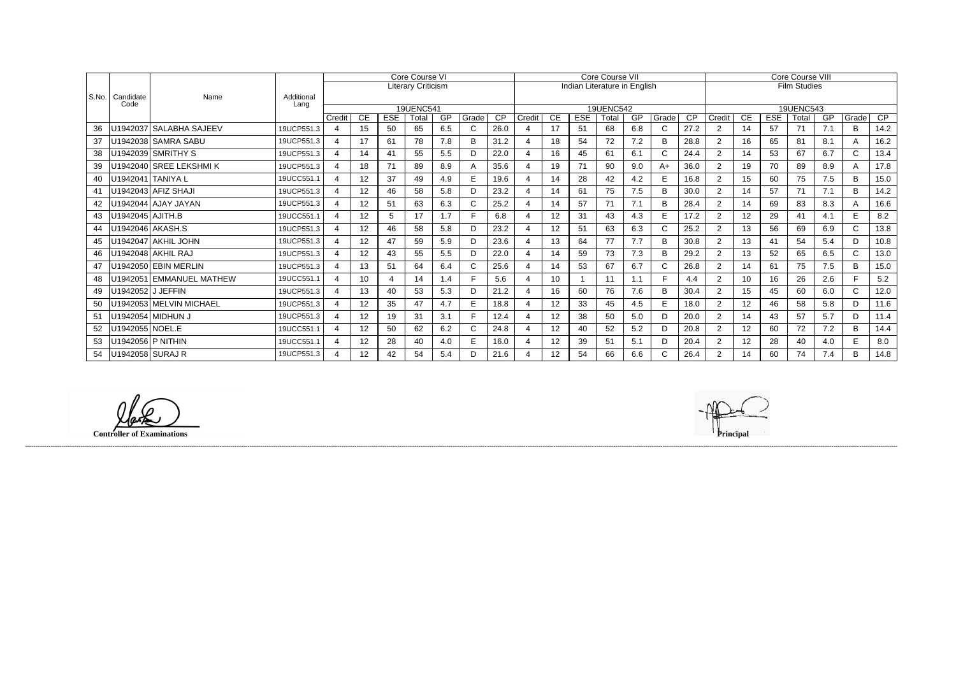|       |                   |                          |                    | <b>Core Course VI</b> |                  |                |                           |           |       |                 | <b>Core Course VII</b> |    |                              |                  |     |              |                 | <b>Core Course VIII</b> |                 |            |                     |     |              |      |
|-------|-------------------|--------------------------|--------------------|-----------------------|------------------|----------------|---------------------------|-----------|-------|-----------------|------------------------|----|------------------------------|------------------|-----|--------------|-----------------|-------------------------|-----------------|------------|---------------------|-----|--------------|------|
|       |                   |                          |                    |                       |                  |                | <b>Literary Criticism</b> |           |       |                 |                        |    | Indian Literature in English |                  |     |              |                 |                         |                 |            | <b>Film Studies</b> |     |              |      |
| S.No. | Candidate<br>Code | Name                     | Additional<br>Lang |                       |                  |                |                           |           |       |                 |                        |    |                              |                  |     |              |                 |                         |                 |            |                     |     |              |      |
|       |                   |                          |                    |                       |                  |                | <b>19UENC541</b>          |           |       |                 |                        |    |                              | <b>19UENC542</b> |     |              |                 |                         |                 |            | 19UENC543           |     |              |      |
|       |                   |                          |                    | Credit                | CE.              | <b>ESE</b>     | Total                     | <b>GP</b> | Grade | $\overline{CP}$ | Credit                 | CE | <b>ESE</b>                   | Total            | GP  | Grade        | $\overline{CP}$ | Credit                  | CE              | <b>ESE</b> | Total               | GP  | Grade        | CP   |
| 36    |                   | U1942037 SALABHA SAJEEV  | 19UCP551.3         | $\overline{4}$        | 15 <sub>15</sub> | 50             | 65                        | 6.5       | C.    | 26.0            |                        | 17 | 51                           | 68               | 6.8 | $\mathsf{C}$ | 27.2            | $\overline{2}$          | 14              | 57         | 71                  | 7.1 | B            | 14.2 |
| 37    |                   | U1942038 SAMRA SABU      | 19UCP551.3         | 4                     | 17               | 61             | 78                        | 7.8       | B     | 31.2            |                        | 18 | 54                           | 72               | 7.2 | B            | 28.8            | 2                       | 16              | 65         | 81                  | 8.1 | A            | 16.2 |
| 38    |                   | U1942039 SMRITHY S       | 19UCP551.3         | 4                     | 14               | 41             | 55                        | 5.5       | D     | 22.0            |                        | 16 | 45                           | 61               | 6.1 | C            | 24.4            | $\overline{2}$          | 14              | 53         | 67                  | 6.7 | $\mathsf{C}$ | 13.4 |
| 39    |                   | U1942040 SREE LEKSHMIK   | 19UCP551.3         | 4                     | 18               | 71             | 89                        | 8.9       | A     | 35.6            |                        | 19 | 71                           | 90               | 9.0 | $A+$         | 36.0            | $\overline{2}$          | 19              | 70         | 89                  | 8.9 | A            | 17.8 |
| 40    |                   | U1942041 TANIYA L        | 19UCC551.1         | 4                     | 12               | 37             | 49                        | 4.9       | E.    | 19.6            |                        | 14 | 28                           | 42               | 4.2 | E.           | 16.8            | 2                       | 15              | 60         | 75                  | 7.5 | B            | 15.0 |
| 41    |                   | U1942043 AFIZ SHAJI      | 19UCP551.3         | 4                     | 12               | 46             | 58                        | 5.8       | D     | 23.2            |                        | 14 | 61                           | 75               | 7.5 | B            | 30.0            | 2                       | 14              | 57         | 71                  | 7.1 | B            | 14.2 |
| 42    |                   | U1942044 AJAY JAYAN      | 19UCP551.3         | 4                     | 12 <sup>2</sup>  | 51             | 63                        | 6.3       | C     | 25.2            |                        | 14 | 57                           | 71               | 7.1 | B            | 28.4            | $\overline{2}$          | 14              | 69         | 83                  | 8.3 | A            | 16.6 |
| 43    | U1942045 AJITH.B  |                          | 19UCC551.1         | 4                     | 12 <sup>°</sup>  | 5              | 17                        | 1.7       |       | 6.8             |                        | 12 | 31                           | 43               | 4.3 | E.           | 17.2            | 2                       | 12 <sup>2</sup> | 29         | 41                  | 4.1 | E            | 8.2  |
| 44    |                   | U1942046 AKASH.S         | 19UCP551.3         | 4                     | 12 <sup>°</sup>  | 46             | 58                        | 5.8       | D     | 23.2            |                        | 12 | 51                           | 63               | 6.3 | $\mathsf{C}$ | 25.2            | 2                       | 13              | 56         | 69                  | 6.9 | $\mathsf{C}$ | 13.8 |
| 45    |                   | U1942047 AKHIL JOHN      | 19UCP551.3         | 4                     | 12               | 47             | 59                        | 5.9       | D     | 23.6            |                        | 13 | 64                           | 77               | 7.7 | B            | 30.8            | 2                       | 13              | 41         | 54                  | 5.4 | D            | 10.8 |
| 46    |                   | U1942048 AKHIL RAJ       | 19UCP551.3         | 4                     | 12               | 43             | 55                        | 5.5       | D.    | 22.0            |                        | 14 | 59                           | 73               | 7.3 | B            | 29.2            | 2                       | 13              | 52         | 65                  | 6.5 | $\mathsf{C}$ | 13.0 |
| 47    |                   | U1942050 EBIN MERLIN     | 19UCP551.3         | 4                     | 13               | 51             | 64                        | 6.4       | C.    | 25.6            |                        | 14 | 53                           | 67               | 6.7 | $\mathsf{C}$ | 26.8            | 2                       | 14              | 61         | 75                  | 7.5 | B            | 15.0 |
| 48    |                   | U1942051 EMMANUEL MATHEW | 19UCC551.1         | $\mathbf 4$           | 10               | $\overline{4}$ | 14                        | 1.4       |       | 5.6             |                        | 10 |                              | 11               | 1.1 | E            | 4.4             | $\overline{2}$          | 10 <sup>°</sup> | 16         | 26                  | 2.6 | F.           | 5.2  |
|       | U1942052 J JEFFIN |                          | 19UCP551.3         | 4                     | 13               | 40             | 53                        | 5.3       |       | 21.2            |                        | 16 | 60                           | 76               | 7.6 | B            | 30.4            | 2                       | 15              | 45         | 60                  | 6.0 | $\mathsf{C}$ | 12.0 |
| 50    |                   | U1942053 MELVIN MICHAEL  | 19UCP551.3         | $\overline{4}$        | 12               | 35             | 47                        | 4.7       | E.    | 18.8            |                        | 12 | 33                           | 45               | 4.5 | E.           | 18.0            | 2                       | 12 <sub>2</sub> | 46         | 58                  | 5.8 | D            | 11.6 |
| 51    |                   | U1942054 MIDHUN J        | 19UCP551.3         | $\overline{4}$        | 12 <sup>°</sup>  | 19             | 31                        | 3.1       |       | 12.4            |                        | 12 | 38                           | 50               | 5.0 | D            | 20.0            | 2                       | 14              | 43         | 57                  | 5.7 | D            | 11.4 |
| 52    | U1942055 NOEL.E   |                          | 19UCC551.1         | 4                     | 12 <sup>2</sup>  | 50             | 62                        | 6.2       | C     | 24.8            |                        | 12 | 40                           | 52               | 5.2 | D            | 20.8            | 2                       | 12              | 60         | 72                  | 7.2 | B            | 14.4 |
| 53    |                   | U1942056 P NITHIN        | 19UCC551.1         | 4                     | 12               | 28             | 40                        | 4.0       | E.    | 16.0            |                        | 12 | 39                           | 51               | 5.1 | D            | 20.4            | $\overline{2}$          | 12 <sup>°</sup> | 28         | 40                  | 4.0 | E            | 8.0  |
| 54    | U1942058 SURAJ R  |                          | 19UCP551.3         |                       | 12               | 42             | 54                        | 5.4       |       | 21.6            |                        | 12 | 54                           | 66               | 6.6 | $\mathsf{C}$ | 26.4            | $\overline{2}$          | 14              | 60         | 74                  | 7.4 | B            | 14.8 |

**Controller of Examinations Principal**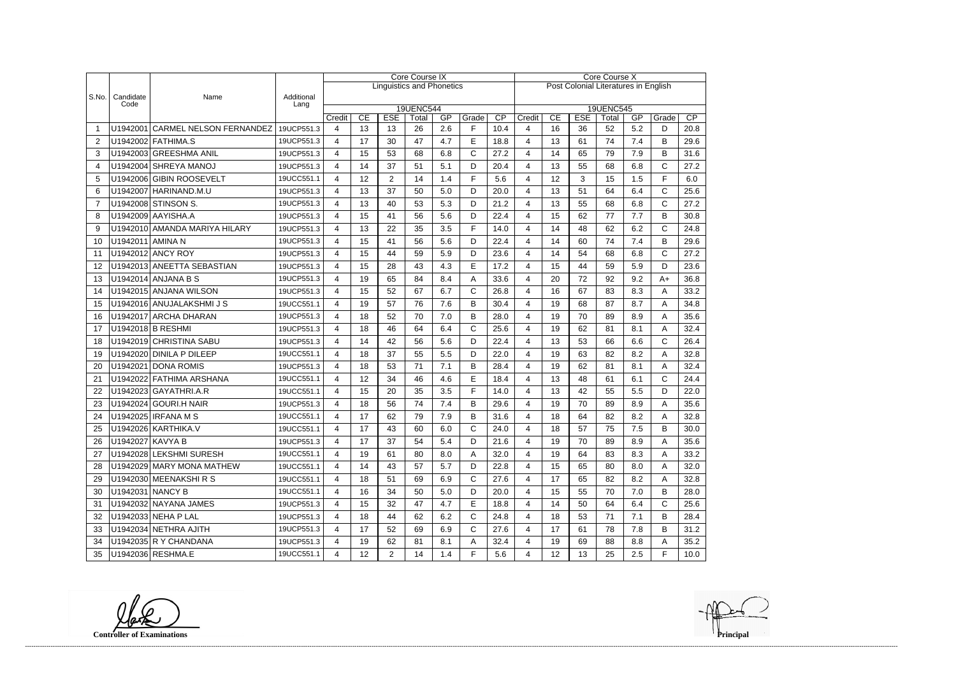|       |                   |                                  |                          |             | <b>Core Course IX</b> |                  |                                  |           |              |                         |                                      |          | Core Course X    |                  |           |              |      |  |  |  |
|-------|-------------------|----------------------------------|--------------------------|-------------|-----------------------|------------------|----------------------------------|-----------|--------------|-------------------------|--------------------------------------|----------|------------------|------------------|-----------|--------------|------|--|--|--|
|       |                   |                                  |                          |             |                       |                  | <b>Linguistics and Phonetics</b> |           |              |                         | Post Colonial Literatures in English |          |                  |                  |           |              |      |  |  |  |
| S.No. | Candidate<br>Code | Name                             | Additional<br>Lang       |             |                       |                  |                                  |           |              |                         |                                      |          |                  |                  |           |              |      |  |  |  |
|       |                   |                                  |                          |             | <b>19UENC544</b>      |                  |                                  |           |              |                         |                                      |          |                  | <b>19UENC545</b> |           |              | CP   |  |  |  |
|       |                   | U1942001 CARMEL NELSON FERNANDEZ | 19UCP551.3               | Credit<br>4 | CE<br>13              | <b>ESE</b><br>13 | Total<br>26                      | GP<br>2.6 | Grade<br>F   | $\overline{CP}$<br>10.4 | Credit<br>4                          | CE<br>16 | <b>ESE</b><br>36 | Total<br>52      | GP<br>5.2 | Grade<br>D   | 20.8 |  |  |  |
| 2     |                   | U1942002 FATHIMA.S               | 19UCP551.3               | 4           | 17                    | 30               | 47                               | 4.7       | E            | 18.8                    | 4                                    | 13       | 61               | 74               | 7.4       | B            | 29.6 |  |  |  |
| 3     |                   | U1942003 GREESHMA ANIL           | 19UCP551.3               | 4           | 15                    | 53               | 68                               | 6.8       | C            | 27.2                    | 4                                    | 14       | 65               | 79               | 7.9       | B            | 31.6 |  |  |  |
| 4     |                   | U1942004 SHREYA MANOJ            | 19UCP551.3               | 4           | 14                    | 37               | 51                               | 5.1       | D            | 20.4                    | 4                                    | 13       | 55               | 68               | 6.8       | C            | 27.2 |  |  |  |
| 5     |                   | U1942006 GIBIN ROOSEVELT         | 19UCC551.1               | 4           | 12                    | $\overline{2}$   | 14                               | 1.4       | F            | 5.6                     | 4                                    | 12       | 3                | 15               | 1.5       | F            | 6.0  |  |  |  |
| 6     |                   | U1942007 HARINAND.M.U            | 19UCP551.3               | 4           | 13                    | 37               | 50                               | 5.0       | D            | 20.0                    | 4                                    | 13       | 51               | 64               | 6.4       | C            | 25.6 |  |  |  |
| 7     |                   | U1942008 STINSON S.              | 19UCP551.3               | 4           | 13                    | 40               | 53                               | 5.3       | D            | 21.2                    | 4                                    | 13       | 55               | 68               | 6.8       | $\mathsf{C}$ | 27.2 |  |  |  |
| 8     |                   | U1942009 AAYISHA.A               | 19UCP551.3               | 4           | 15                    | 41               | 56                               | 5.6       | D            | 22.4                    | 4                                    | 15       | 62               | 77               | 7.7       | B            | 30.8 |  |  |  |
| 9     |                   | U1942010 AMANDA MARIYA HILARY    | 19UCP551.3               | 4           | 13                    | 22               | 35                               | 3.5       | F            | 14.0                    | 4                                    | 14       | 48               | 62               | 6.2       | C            | 24.8 |  |  |  |
| 10    | U1942011 AMINA N  |                                  | 19UCP551.3               | 4           | 15                    | 41               | 56                               | 5.6       | D            | 22.4                    | 4                                    | 14       | 60               | 74               | 7.4       | B            | 29.6 |  |  |  |
|       |                   | U1942012 ANCY ROY                |                          |             | 15                    | 44               | 59                               |           |              |                         |                                      | 14       | 54               |                  |           | C            |      |  |  |  |
| 11    |                   |                                  | 19UCP551.3<br>19UCP551.3 | 4           |                       |                  |                                  | 5.9       | D            | 23.6                    | 4                                    |          |                  | 68               | 6.8       |              | 27.2 |  |  |  |
| 12    |                   | U1942013 ANEETTA SEBASTIAN       |                          | 4           | 15                    | 28               | 43                               | 4.3       | E            | 17.2                    | 4                                    | 15       | 44               | 59               | 5.9       | D            | 23.6 |  |  |  |
| 13    |                   | U1942014 ANJANA B S              | 19UCP551.3               | 4           | 19                    | 65               | 84                               | 8.4       | Α            | 33.6                    | 4                                    | 20       | 72               | 92               | 9.2       | $A+$         | 36.8 |  |  |  |
| 14    |                   | U1942015 ANJANA WILSON           | 19UCP551.3               | 4           | 15                    | 52               | 67                               | 6.7       | $\mathsf{C}$ | 26.8                    | 4                                    | 16       | 67               | 83               | 8.3       | A            | 33.2 |  |  |  |
| 15    |                   | U1942016 ANUJALAKSHMI J S        | 19UCC551.1               | 4           | 19                    | 57               | 76                               | 7.6       | B            | 30.4                    | 4                                    | 19       | 68               | 87               | 8.7       | Α            | 34.8 |  |  |  |
| 16    |                   | U1942017 ARCHA DHARAN            | 19UCP551.3               | 4           | 18                    | 52               | 70                               | 7.0       | B            | 28.0                    | 4                                    | 19       | 70               | 89               | 8.9       | Α            | 35.6 |  |  |  |
| 17    |                   | U1942018 B RESHMI                | 19UCP551.3               | 4           | 18                    | 46               | 64                               | 6.4       | $\mathsf{C}$ | 25.6                    | 4                                    | 19       | 62               | 81               | 8.1       | A            | 32.4 |  |  |  |
| 18    |                   | U1942019 CHRISTINA SABU          | 19UCP551.3               | 4           | 14                    | 42               | 56                               | 5.6       | D            | 22.4                    | 4                                    | 13       | 53               | 66               | 6.6       | C            | 26.4 |  |  |  |
| 19    |                   | U1942020 DINILA P DILEEP         | 19UCC551.1               | 4           | 18                    | 37               | 55                               | 5.5       | D            | 22.0                    | 4                                    | 19       | 63               | 82               | 8.2       | Α            | 32.8 |  |  |  |
| 20    |                   | U1942021 DONA ROMIS              | 19UCP551.3               | 4           | 18                    | 53               | 71                               | 7.1       | B            | 28.4                    | 4                                    | 19       | 62               | 81               | 8.1       | A            | 32.4 |  |  |  |
| 21    |                   | U1942022 FATHIMA ARSHANA         | 19UCC551.1               | 4           | 12                    | 34               | 46                               | 4.6       | E            | 18.4                    | 4                                    | 13       | 48               | 61               | 6.1       | $\mathsf{C}$ | 24.4 |  |  |  |
| 22    |                   | U1942023 GAYATHRI.A.R            | 19UCC551.1               | 4           | 15                    | 20               | 35                               | 3.5       | F            | 14.0                    | 4                                    | 13       | 42               | 55               | 5.5       | D            | 22.0 |  |  |  |
| 23    |                   | U1942024 GOURI.H NAIR            | 19UCP551.3               | 4           | 18                    | 56               | 74                               | 7.4       | B            | 29.6                    | 4                                    | 19       | 70               | 89               | 8.9       | Α            | 35.6 |  |  |  |
| 24    |                   | U1942025 IRFANA M S              | 19UCC551.1               | 4           | 17                    | 62               | 79                               | 7.9       | B            | 31.6                    | 4                                    | 18       | 64               | 82               | 8.2       | Α            | 32.8 |  |  |  |
| 25    |                   | U1942026 KARTHIKA.V              | 19UCC551.1               | 4           | 17                    | 43               | 60                               | 6.0       | C            | 24.0                    | 4                                    | 18       | 57               | 75               | 7.5       | B            | 30.0 |  |  |  |
| 26    | U1942027 KAVYA B  |                                  | 19UCP551.3               | 4           | 17                    | 37               | 54                               | 5.4       | D            | 21.6                    | 4                                    | 19       | 70               | 89               | 8.9       | A            | 35.6 |  |  |  |
| 27    |                   | U1942028 LEKSHMI SURESH          | 19UCC551.1               | 4           | 19                    | 61               | 80                               | 8.0       | A            | 32.0                    | 4                                    | 19       | 64               | 83               | 8.3       | A            | 33.2 |  |  |  |
| 28    |                   | U1942029 MARY MONA MATHEW        | 19UCC551.1               | 4           | 14                    | 43               | 57                               | 5.7       | D            | 22.8                    | 4                                    | 15       | 65               | 80               | 8.0       | A            | 32.0 |  |  |  |
| 29    |                   | U1942030 MEENAKSHIRS             | 19UCC551.1               | 4           | 18                    | 51               | 69                               | 6.9       | $\mathsf{C}$ | 27.6                    | 4                                    | 17       | 65               | 82               | 8.2       | Α            | 32.8 |  |  |  |
| 30    | U1942031 NANCY B  |                                  | 19UCC551.1               | 4           | 16                    | 34               | 50                               | 5.0       | D            | 20.0                    | 4                                    | 15       | 55               | 70               | 7.0       | В            | 28.0 |  |  |  |
| 31    |                   | U1942032 NAYANA JAMES            | 19UCP551.3               | 4           | 15                    | 32               | 47                               | 4.7       | E            | 18.8                    | 4                                    | 14       | 50               | 64               | 6.4       | C            | 25.6 |  |  |  |
| 32    |                   | U1942033 NEHA P LAL              | 19UCP551.3               | 4           | 18                    | 44               | 62                               | 6.2       | $\mathsf{C}$ | 24.8                    | 4                                    | 18       | 53               | 71               | 7.1       | B            | 28.4 |  |  |  |
| 33    |                   | U1942034 NETHRA AJITH            | 19UCP551.3               | 4           | 17                    | 52               | 69                               | 6.9       | $\mathsf{C}$ | 27.6                    | 4                                    | 17       | 61               | 78               | 7.8       | В            | 31.2 |  |  |  |
| 34    |                   | U1942035 R Y CHANDANA            | 19UCP551.3               | 4           | 19                    | 62               | 81                               | 8.1       | A            | 32.4                    | 4                                    | 19       | 69               | 88               | 8.8       | Α            | 35.2 |  |  |  |
| 35    |                   | U1942036 RESHMA.E                | 19UCC551.1               | 4           | 12                    | $\overline{2}$   | 14                               | 1.4       | F            | 5.6                     | 4                                    | 12       | 13               | 25               | 2.5       | F            | 10.0 |  |  |  |

**Controller of Examinations**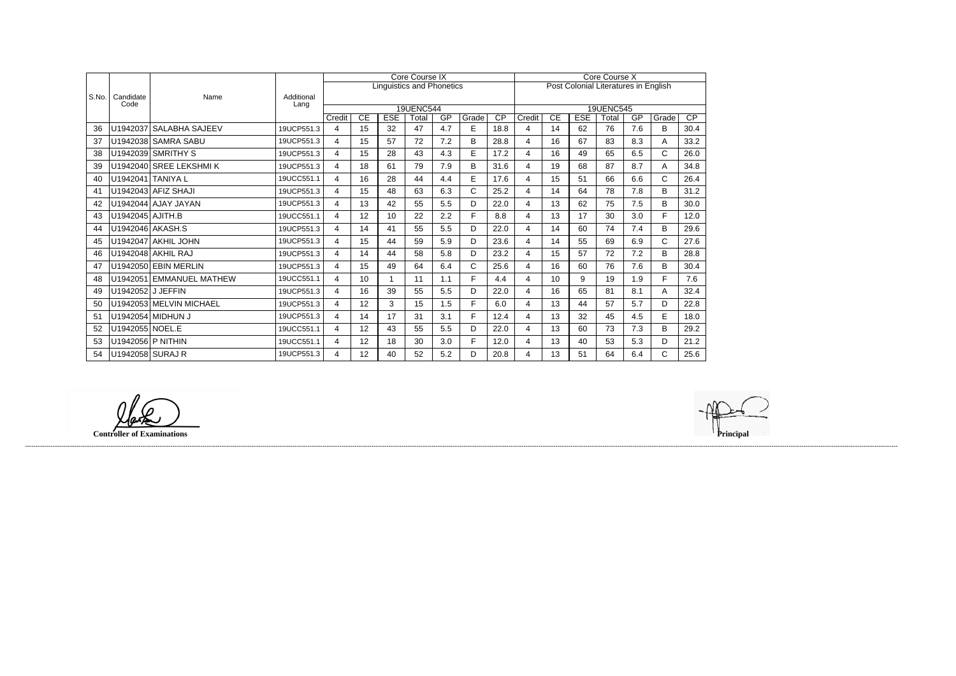|       |                   |                          |                    |                |          |                  | <b>Core Course IX</b>            |           |            | Core Course X                  |                          |          |                                      |                  |           |              |                         |
|-------|-------------------|--------------------------|--------------------|----------------|----------|------------------|----------------------------------|-----------|------------|--------------------------------|--------------------------|----------|--------------------------------------|------------------|-----------|--------------|-------------------------|
|       |                   |                          |                    |                |          |                  | <b>Linguistics and Phonetics</b> |           |            |                                |                          |          | Post Colonial Literatures in English |                  |           |              |                         |
| S.No. | Candidate<br>Code | Name                     | Additional<br>Lang |                |          |                  |                                  |           |            |                                |                          |          |                                      |                  |           |              |                         |
|       |                   |                          |                    |                |          |                  | <b>19UENC544</b>                 |           |            |                                |                          |          |                                      | <b>19UENC545</b> |           |              |                         |
| 36    |                   | U1942037 SALABHA SAJEEV  | 19UCP551.3         | Credit<br>4    | CE<br>15 | <b>ESE</b><br>32 | Total<br>47                      | GP<br>4.7 | Grade<br>E | $\overline{\text{CP}}$<br>18.8 | Credit<br>$\overline{4}$ | CE<br>14 | <b>ESE</b><br>62                     | Total<br>76      | GP<br>7.6 | Grade<br>B   | $\overline{CP}$<br>30.4 |
|       |                   |                          |                    |                |          |                  |                                  |           |            |                                |                          |          |                                      |                  |           |              |                         |
| 37    |                   | U1942038 SAMRA SABU      | 19UCP551.3         | 4              | 15       | 57               | 72                               | 7.2       | B          | 28.8                           | $\overline{4}$           | 16       | 67                                   | 83               | 8.3       | A            | 33.2                    |
| 38    |                   | U1942039 SMRITHY S       | 19UCP551.3         | 4              | 15       | 28               | 43                               | 4.3       | E.         | 17.2                           | $\overline{4}$           | 16       | 49                                   | 65               | 6.5       | C            | 26.0                    |
| 39    |                   | U1942040 SREE LEKSHMIK   | 19UCP551.3         | 4              | 18       | 61               | 79                               | 7.9       | B          | 31.6                           | $\overline{4}$           | 19       | 68                                   | 87               | 8.7       | A            | 34.8                    |
| 40    | U1942041 TANIYA L |                          | 19UCC551.1         | 4              | 16       | 28               | 44                               | 4.4       | E          | 17.6                           | 4                        | 15       | 51                                   | 66               | 6.6       | C            | 26.4                    |
| 41    |                   | U1942043 AFIZ SHAJI      | 19UCP551.3         | 4              | 15       | 48               | 63                               | 6.3       | C          | 25.2                           | $\overline{4}$           | 14       | 64                                   | 78               | 7.8       | B            | 31.2                    |
| 42    |                   | U1942044 AJAY JAYAN      | 19UCP551.3         | $\overline{4}$ | 13       | 42               | 55                               | 5.5       | D          | 22.0                           | $\overline{4}$           | 13       | 62                                   | 75               | 7.5       | B            | 30.0                    |
| 43    | U1942045 AJITH.B  |                          | 19UCC551.1         | $\overline{4}$ | 12       | 10 <sup>1</sup>  | 22                               | 2.2       | F.         | 8.8                            | 4                        | 13       | 17                                   | 30               | 3.0       | F.           | 12.0                    |
| 44    |                   | U1942046 AKASH.S         | 19UCP551.3         | $\overline{4}$ | 14       | 41               | 55                               | 5.5       | D          | 22.0                           | $\overline{4}$           | 14       | 60                                   | 74               | 7.4       | B            | 29.6                    |
| 45    |                   | U1942047 AKHIL JOHN      | 19UCP551.3         | $\overline{4}$ | 15       | 44               | 59                               | 5.9       | D          | 23.6                           | $\overline{4}$           | 14       | 55                                   | 69               | 6.9       | C            | 27.6                    |
| 46    |                   | U1942048 AKHIL RAJ       | 19UCP551.3         | 4              | 14       | 44               | 58                               | 5.8       | D          | 23.2                           | $\overline{4}$           | 15       | 57                                   | 72               | 7.2       | B            | 28.8                    |
| 47    |                   | U1942050 EBIN MERLIN     | 19UCP551.3         | 4              | 15       | 49               | 64                               | 6.4       | C          | 25.6                           | 4                        | 16       | 60                                   | 76               | 7.6       | B            | 30.4                    |
| 48    |                   | U1942051 EMMANUEL MATHEW | 19UCC551.1         | 4              | 10       |                  | 11                               | 1.1       | F.         | 4.4                            | 4                        | 10       | 9                                    | 19               | 1.9       | F.           | 7.6                     |
| 49    | U1942052 J JEFFIN |                          | 19UCP551.3         | $\overline{4}$ | 16       | 39               | 55                               | 5.5       | D          | 22.0                           | $\overline{\mathbf{A}}$  | 16       | 65                                   | 81               | 8.1       | Α            | 32.4                    |
| 50    |                   | U1942053 MELVIN MICHAEL  | 19UCP551.3         | 4              | 12       | 3                | 15                               | 1.5       | F          | 6.0                            | $\overline{4}$           | 13       | 44                                   | 57               | 5.7       | D            | 22.8                    |
| 51    |                   | U1942054 MIDHUN J        | 19UCP551.3         | $\overline{4}$ | 14       | 17               | 31                               | 3.1       | F.         | 12.4                           | $\overline{4}$           | 13       | 32                                   | 45               | 4.5       | E            | 18.0                    |
| 52    | U1942055 NOEL.E   |                          | 19UCC551.1         | 4              | 12       | 43               | 55                               | 5.5       | D          | 22.0                           | $\overline{4}$           | 13       | 60                                   | 73               | 7.3       | B            | 29.2                    |
| 53    | U1942056 P NITHIN |                          | 19UCC551.1         | $\overline{4}$ | 12       | 18               | 30                               | 3.0       | F          | 12.0                           | $\overline{4}$           | 13       | 40                                   | 53               | 5.3       | D            | 21.2                    |
| 54    | U1942058 SURAJ R  |                          | 19UCP551.3         | 4              | 12       | 40               | 52                               | 5.2       | D.         | 20.8                           | 4                        | 13       | 51                                   | 64               | 6.4       | $\mathsf{C}$ | 25.6                    |

**Controller of Examinations Principal**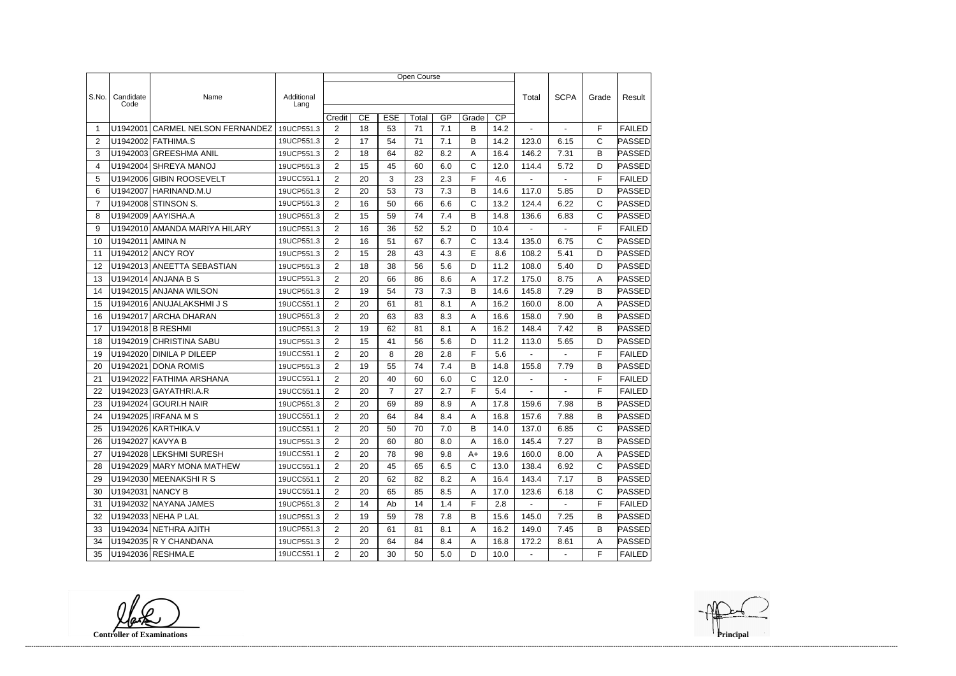|                |                    |                                |                    | Open Course    |    |                |        |       |              |                 |                |                |              |               |  |
|----------------|--------------------|--------------------------------|--------------------|----------------|----|----------------|--------|-------|--------------|-----------------|----------------|----------------|--------------|---------------|--|
|                |                    |                                |                    |                |    |                |        |       |              |                 |                |                |              |               |  |
| S.No.          | Candidate<br>Code  | Name                           | Additional<br>Lang |                |    |                |        |       |              |                 | Total          | <b>SCPA</b>    | Grade        | Result        |  |
|                |                    |                                |                    | Credit         | CE | <b>ESE</b>     | Total  | GP    | Grade        | $\overline{CP}$ |                |                |              |               |  |
| -1             | U1942001           | <b>CARMEL NELSON FERNANDEZ</b> | 19UCP551.3         | 2              | 18 | 53             | 71     | 7.1   | B            | 14.2            |                |                | F            | <b>FAILED</b> |  |
| 2              |                    | U1942002 FATHIMA.S             | 19UCP551.3         | $\overline{2}$ | 17 | 54             | 71     | 7.1   | B            | 14.2            | 123.0          | 6.15           | $\mathsf{C}$ | PASSED        |  |
| 3              |                    | U1942003 GREESHMA ANIL         | 19UCP551.3         | $\overline{2}$ | 18 | 64             | 82     | 8.2   | Α            | 16.4            | 146.2          | 7.31           | B            | <b>PASSED</b> |  |
| 4              |                    | U1942004 SHREYA MANOJ          | 19UCP551.3         | $\overline{2}$ | 15 | 45             | 60     | 6.0   | C            | 12.0            | 114.4          | 5.72           | D            | PASSED        |  |
| 5              | U1942006           | GIBIN ROOSEVELT                | 19UCC551.1         | 2              | 20 | 3              | 23     | 2.3   | F            | 4.6             | $\blacksquare$ | $\blacksquare$ | F            | <b>FAILED</b> |  |
| 6              | U1942007           | HARINAND.M.U                   | 19UCP551.3         | $\overline{2}$ | 20 | 53             | 73     | 7.3   | B            | 14.6            | 117.0          | 5.85           | D            | PASSED        |  |
| $\overline{7}$ |                    | U1942008 STINSON S.            | 19UCP551.3         | $\overline{2}$ | 16 | 50             | 66     | 6.6   | C            | 13.2            | 124.4          | 6.22           | $\mathsf{C}$ | PASSED        |  |
| 8              |                    | U1942009 AAYISHA.A             | 19UCP551.3         | $\overline{2}$ | 15 | 59             | 74     | 7.4   | В            | 14.8            | 136.6          | 6.83           | C            | PASSED        |  |
| 9              |                    | U1942010 AMANDA MARIYA HILARY  | 19UCP551.3         | $\overline{2}$ | 16 | 36             | 52     | 5.2   | D            | 10.4            |                |                | F            | <b>FAILED</b> |  |
| 10             | U1942011           | <b>AMINAN</b>                  | 19UCP551.3         | 2              | 16 | 51             | 67     | 6.7   | $\mathsf{C}$ | 13.4            | 135.0          | 6.75           | $\mathsf{C}$ | PASSED        |  |
| 11             |                    | U1942012 ANCY ROY              | 19UCP551.3         | $\overline{2}$ | 15 | 28             | 43     | 4.3   | E            | 8.6             | 108.2          | 5.41           | D            | PASSED        |  |
| 12             |                    | U1942013 ANEETTA SEBASTIAN     | 19UCP551.3         | $\overline{2}$ | 18 | 38             | 56     | 5.6   | D            | 11.2            | 108.0          | 5.40           | D            | PASSED        |  |
| 13             |                    | U1942014 ANJANA B S            | 19UCP551.3         | 2              | 20 | 66             | 86     | 8.6   | Α            | 17.2            | 175.0          | 8.75           | A            | PASSED        |  |
| 14             |                    | U1942015 ANJANA WILSON         | 19UCP551.3         | $\overline{2}$ | 19 | 54             | 73     | 7.3   | B            | 14.6            | 145.8          | 7.29           | B            | PASSED        |  |
| 15             |                    | U1942016 ANUJALAKSHMIJS        | 19UCC551.1         | 2              | 20 | 61             | 81     | 8.1   | Α            | 16.2            | 160.0          | 8.00           | A            | PASSED        |  |
| 16             |                    | U1942017 ARCHA DHARAN          | 19UCP551.3         | $\overline{2}$ | 20 | 63             | 83     | 8.3   | A            | 16.6            | 158.0          | 7.90           | B            | PASSED        |  |
| 17             |                    | U1942018 B RESHMI              | 19UCP551.3         | $\overline{2}$ | 19 | 62             | 81     | 8.1   | A            | 16.2            | 148.4          | 7.42           | B            | <b>PASSED</b> |  |
| 18             |                    | U1942019 CHRISTINA SABU        | 19UCP551.3         | $\overline{2}$ | 15 | 41             | 56     | 5.6   | D            | 11.2            | 113.0          | 5.65           | D            | <b>PASSED</b> |  |
| 19             |                    | U1942020 DINILA P DILEEP       | 19UCC551.1         | $\overline{2}$ | 20 | 8              | 28     | 2.8   | F            | 5.6             |                |                | F            | <b>FAILED</b> |  |
| 20             | U1942021           | <b>DONA ROMIS</b>              | 19UCP551.3         | 2              | 19 | 55             | 74     | 7.4   | B            | 14.8            | 155.8          | 7.79           | B            | <b>PASSED</b> |  |
| 21             | U1942022           | FATHIMA ARSHANA                | 19UCC551.1         | $\overline{2}$ | 20 | 40             | 60     | 6.0   | C            | 12.0            |                |                | F            | <b>FAILED</b> |  |
| 22             |                    | U1942023 GAYATHRI.A.R          | 19UCC551.1         | $\overline{2}$ | 20 | $\overline{7}$ | 27     | 2.7   | F            | 5.4             | $\blacksquare$ | $\overline{a}$ | F            | <b>FAILED</b> |  |
| 23             |                    | U1942024 GOURI.H NAIR          | 19UCP551.3         | $\overline{2}$ | 20 | 69             | 89     | 8.9   | Α            | 17.8            | 159.6          | 7.98           | B            | PASSED        |  |
| 24             |                    | U1942025 IRFANA M S            | 19UCC551.1         | $\overline{2}$ | 20 | 64             | 84     | 8.4   | Α            | 16.8            | 157.6          | 7.88           | B            | PASSED        |  |
| 25             |                    | U1942026 KARTHIKA.V            | 19UCC551.1         | 2              | 20 | 50             | $70\,$ | $7.0$ | В            | 14.0            | 137.0          | 6.85           | С            | <b>PASSED</b> |  |
| 26             | U1942027   KAVYA B |                                | 19UCP551.3         | $\overline{2}$ | 20 | 60             | 80     | 8.0   | A            | 16.0            | 145.4          | 7.27           | B            | <b>PASSED</b> |  |
| 27             |                    | U1942028 LEKSHMI SURESH        | 19UCC551.1         | $\overline{2}$ | 20 | 78             | 98     | 9.8   | A+           | 19.6            | 160.0          | 8.00           | Α            | <b>PASSED</b> |  |
| 28             |                    | U1942029   MARY MONA MATHEW    | 19UCC551.1         | $\overline{2}$ | 20 | 45             | 65     | 6.5   | C            | 13.0            | 138.4          | 6.92           | C            | <b>PASSED</b> |  |
| 29             |                    | U1942030 MEENAKSHIRS           | 19UCC551.1         | $\overline{2}$ | 20 | 62             | 82     | 8.2   | A            | 16.4            | 143.4          | 7.17           | B            | <b>PASSED</b> |  |
| 30             | U1942031 NANCY B   |                                | 19UCC551.1         | $\overline{2}$ | 20 | 65             | 85     | 8.5   | A            | 17.0            | 123.6          | 6.18           | C            | PASSED        |  |
| 31             |                    | U1942032 NAYANA JAMES          | 19UCP551.3         | $\overline{2}$ | 14 | Ab             | 14     | 1.4   | F.           | 2.8             |                | $\blacksquare$ | F            | <b>FAILED</b> |  |
| 32             |                    | U1942033 NEHA P LAL            | 19UCP551.3         | $\overline{2}$ | 19 | 59             | 78     | 7.8   | B            | 15.6            | 145.0          | 7.25           | B            | <b>PASSED</b> |  |
| 33             |                    | U1942034 NETHRA AJITH          | 19UCP551.3         | $\overline{2}$ | 20 | 61             | 81     | 8.1   | A            | 16.2            | 149.0          | 7.45           | B            | PASSED        |  |
| 34             |                    | U1942035 R Y CHANDANA          | 19UCP551.3         | $\overline{2}$ | 20 | 64             | 84     | 8.4   | A            | 16.8            | 172.2          | 8.61           | A            | <b>PASSED</b> |  |
| 35             |                    | U1942036 RESHMA.E              | 19UCC551.1         | $2^{\circ}$    | 20 | 30             | 50     | 5.0   | D            | 10.0            | $\sim$         | $\blacksquare$ | F.           | FAILED        |  |

**Controller of Examinations**